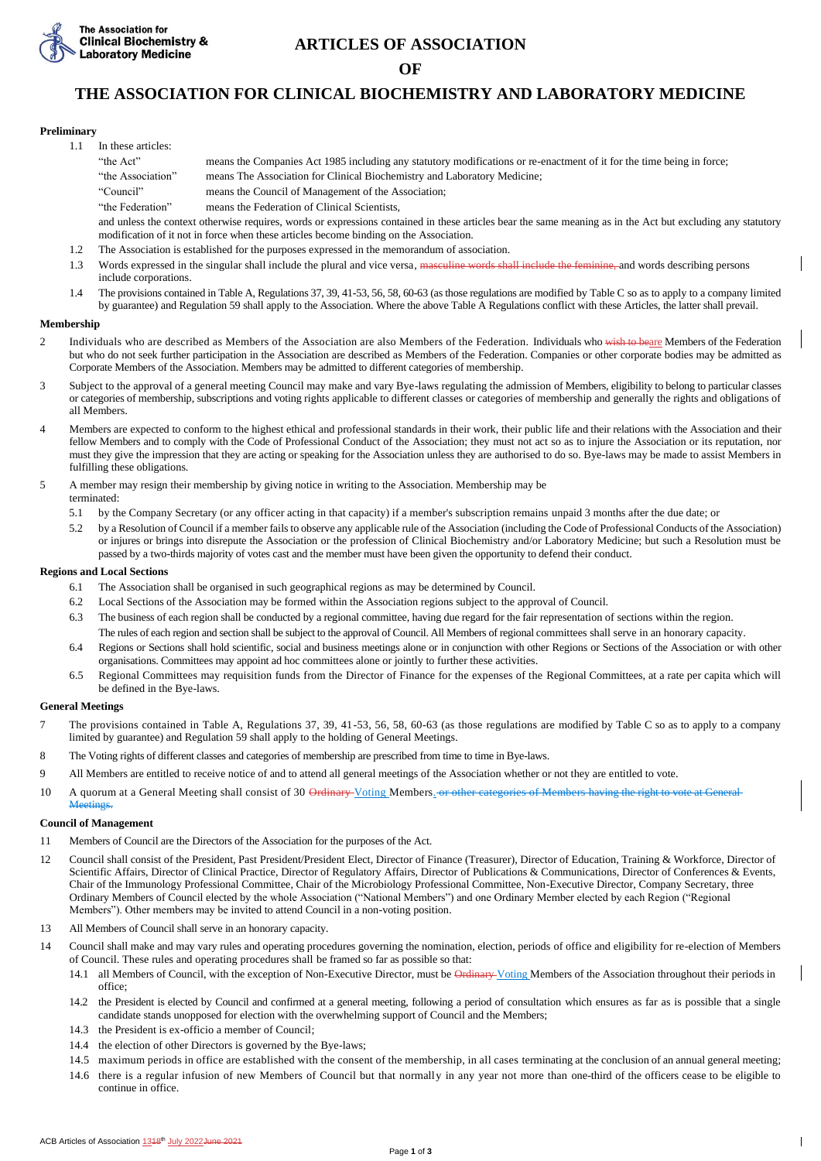

# **ARTICLES OF ASSOCIATION**

**OF**

# **THE ASSOCIATION FOR CLINICAL BIOCHEMISTRY AND LABORATORY MEDICINE**

## **Preliminary**

- 1.1 In these articles:
	- "the Act" means the Companies Act 1985 including any statutory modifications or re-enactment of it for the time being in force; "the Association" means The Association for Clinical Biochemistry and Laboratory Medicine;
	- "Council" means the Council of Management of the Association;
	- "the Federation" means the Federation of Clinical Scientists,

and unless the context otherwise requires, words or expressions contained in these articles bear the same meaning as in the Act but excluding any statutory modification of it not in force when these articles become binding on the Association.

- 1.2 The Association is established for the purposes expressed in the memorandum of association.
- 1.3 Words expressed in the singular shall include the plural and vice versa, <del>masculine words shall include the feminine,</del> and words describing persons include corporations.
- 1.4 The provisions contained in Table A, Regulations 37, 39, 41-53, 56, 58, 60-63 (as those regulations are modified by Table C so as to apply to a company limited by guarantee) and Regulation 59 shall apply to the Association. Where the above Table A Regulations conflict with these Articles, the latter shall prevail.

# **Membership**

- 2 Individuals who are described as Members of the Association are also Members of the Federation. Individuals who wish to beare Members of the Federation but who do not seek further participation in the Association are described as Members of the Federation. Companies or other corporate bodies may be admitted as Corporate Members of the Association. Members may be admitted to different categories of membership.
- 3 Subject to the approval of a general meeting Council may make and vary Bye-laws regulating the admission of Members, eligibility to belong to particular classes or categories of membership, subscriptions and voting rights applicable to different classes or categories of membership and generally the rights and obligations of all Members.
- 4 Members are expected to conform to the highest ethical and professional standards in their work, their public life and their relations with the Association and their fellow Members and to comply with the Code of Professional Conduct of the Association; they must not act so as to injure the Association or its reputation, nor must they give the impression that they are acting or speaking for the Association unless they are authorised to do so. Bye-laws may be made to assist Members in fulfilling these obligations.
- 5 A member may resign their membership by giving notice in writing to the Association. Membership may be terminated:
	- 5.1 by the Company Secretary (or any officer acting in that capacity) if a member's subscription remains unpaid 3 months after the due date; or
	- 5.2 by a Resolution of Council if a member fails to observe any applicable rule of the Association (including the Code of Professional Conducts of the Association) or injures or brings into disrepute the Association or the profession of Clinical Biochemistry and/or Laboratory Medicine; but such a Resolution must be passed by a two-thirds majority of votes cast and the member must have been given the opportunity to defend their conduct.

### **Regions and Local Sections**

- 6.1 The Association shall be organised in such geographical regions as may be determined by Council.
- 6.2 Local Sections of the Association may be formed within the Association regions subject to the approval of Council.
- 6.3 The business of each region shall be conducted by a regional committee, having due regard for the fair representation of sections within the region.
- The rules of each region and section shall be subject to the approval of Council. All Members of regional committees shall serve in an honorary capacity.
- 6.4 Regions or Sections shall hold scientific, social and business meetings alone or in conjunction with other Regions or Sections of the Association or with other organisations. Committees may appoint ad hoc committees alone or jointly to further these activities.
- 6.5 Regional Committees may requisition funds from the Director of Finance for the expenses of the Regional Committees, at a rate per capita which will be defined in the Bye-laws.

# **General Meetings**

- 7 The provisions contained in Table A, Regulations 37, 39, 41-53, 56, 58, 60-63 (as those regulations are modified by Table C so as to apply to a company limited by guarantee) and Regulation 59 shall apply to the holding of General Meetings.
- 8 The Voting rights of different classes and categories of membership are prescribed from time to time in Bye-laws.
- 9 All Members are entitled to receive notice of and to attend all general meetings of the Association whether or not they are entitled to vote.
- 10 A quorum at a General Meeting shall consist of 30 Ordinary Voting Members. or other categories of Members having the right to vote at General Meetings.

#### **Council of Management**

- 11 Members of Council are the Directors of the Association for the purposes of the Act.
- 12 Council shall consist of the President, Past President/President Elect, Director of Finance (Treasurer), Director of Education, Training & Workforce, Director of Scientific Affairs, Director of Clinical Practice, Director of Regulatory Affairs, Director of Publications & Communications, Director of Conferences & Events, Chair of the Immunology Professional Committee, Chair of the Microbiology Professional Committee, Non-Executive Director, Company Secretary, three Ordinary Members of Council elected by the whole Association ("National Members") and one Ordinary Member elected by each Region ("Regional Members"). Other members may be invited to attend Council in a non-voting position.
- 13 All Members of Council shall serve in an honorary capacity.
- 14 Council shall make and may vary rules and operating procedures governing the nomination, election, periods of office and eligibility for re-election of Members of Council. These rules and operating procedures shall be framed so far as possible so that:
	- 14.1 all Members of Council, with the exception of Non-Executive Director, must be Ordinary Voting Members of the Association throughout their periods in office;
	- 14.2 the President is elected by Council and confirmed at a general meeting, following a period of consultation which ensures as far as is possible that a single candidate stands unopposed for election with the overwhelming support of Council and the Members;
	- 14.3 the President is ex-officio a member of Council;
	- 14.4 the election of other Directors is governed by the Bye-laws;
	- 14.5 maximum periods in office are established with the consent of the membership, in all cases terminating at the conclusion of an annual general meeting;
	- 14.6 there is a regular infusion of new Members of Council but that normally in any year not more than one-third of the officers cease to be eligible to continue in office.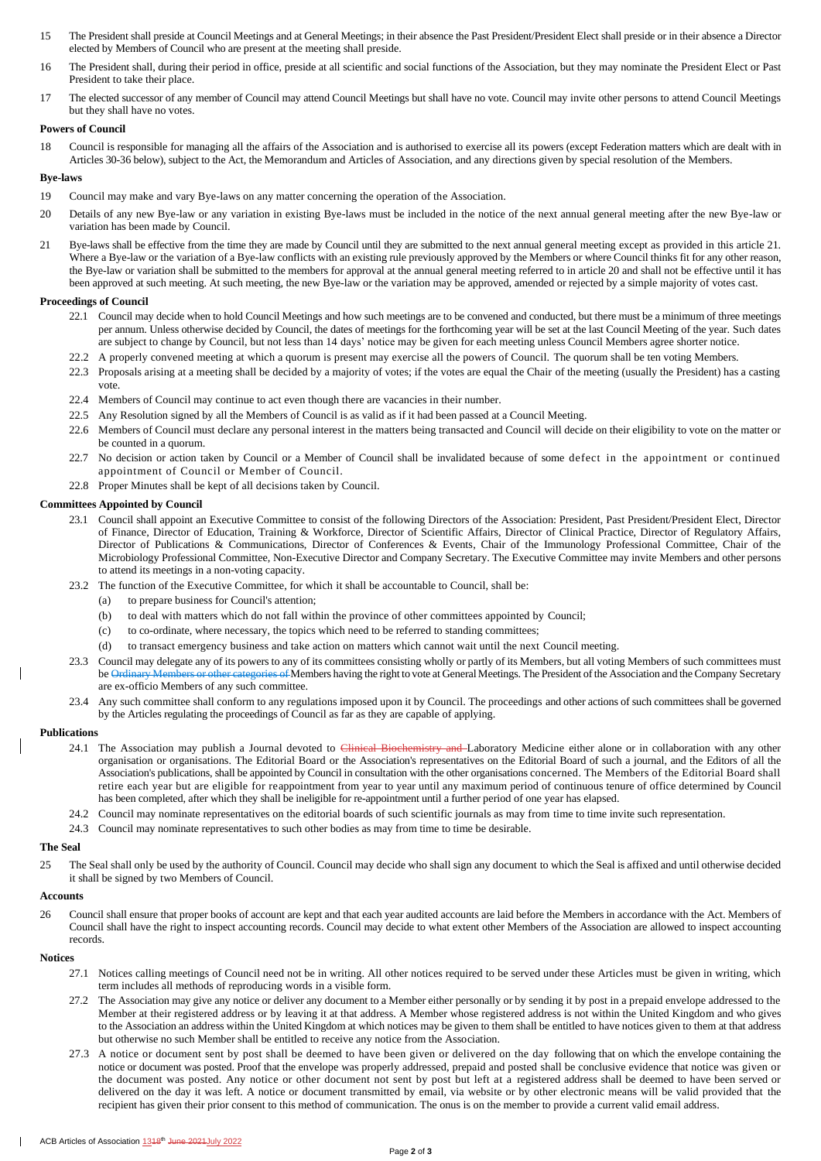- 15 The President shall preside at Council Meetings and at General Meetings; in their absence the Past President/President Elect shall preside or in their absence a Director elected by Members of Council who are present at the meeting shall preside.
- 16 The President shall, during their period in office, preside at all scientific and social functions of the Association, but they may nominate the President Elect or Past President to take their place.
- 17 The elected successor of any member of Council may attend Council Meetings but shall have no vote. Council may invite other persons to attend Council Meetings but they shall have no votes.

#### **Powers of Council**

18 Council is responsible for managing all the affairs of the Association and is authorised to exercise all its powers (except Federation matters which are dealt with in Articles 30-36 below), subject to the Act, the Memorandum and Articles of Association, and any directions given by special resolution of the Members.

#### **Bye-laws**

- 19 Council may make and vary Bye-laws on any matter concerning the operation of the Association.
- 20 Details of any new Bye-law or any variation in existing Bye-laws must be included in the notice of the next annual general meeting after the new Bye-law or variation has been made by Council.
- 21 Bye-laws shall be effective from the time they are made by Council until they are submitted to the next annual general meeting except as provided in this article 21. Where a Bye-law or the variation of a Bye-law conflicts with an existing rule previously approved by the Members or where Council thinks fit for any other reason, the Bye-law or variation shall be submitted to the members for approval at the annual general meeting referred to in article 20 and shall not be effective until it has been approved at such meeting. At such meeting, the new Bye-law or the variation may be approved, amended or rejected by a simple majority of votes cast.

#### **Proceedings of Council**

- 22.1 Council may decide when to hold Council Meetings and how such meetings are to be convened and conducted, but there must be a minimum of three meetings per annum. Unless otherwise decided by Council, the dates of meetings for the forthcoming year will be set at the last Council Meeting of the year. Such dates are subject to change by Council, but not less than 14 days' notice may be given for each meeting unless Council Members agree shorter notice.
- 22.2 A properly convened meeting at which a quorum is present may exercise all the powers of Council. The quorum shall be ten voting Members.
- 22.3 Proposals arising at a meeting shall be decided by a majority of votes; if the votes are equal the Chair of the meeting (usually the President) has a casting vote.
- 22.4 Members of Council may continue to act even though there are vacancies in their number.
- 22.5 Any Resolution signed by all the Members of Council is as valid as if it had been passed at a Council Meeting.
- 22.6 Members of Council must declare any personal interest in the matters being transacted and Council will decide on their eligibility to vote on the matter or be counted in a quorum.
- 22.7 No decision or action taken by Council or a Member of Council shall be invalidated because of some defect in the appointment or continued appointment of Council or Member of Council.
- 22.8 Proper Minutes shall be kept of all decisions taken by Council.

## **Committees Appointed by Council**

- 23.1 Council shall appoint an Executive Committee to consist of the following Directors of the Association: President, Past President/President Elect, Director of Finance, Director of Education, Training & Workforce, Director of Scientific Affairs, Director of Clinical Practice, Director of Regulatory Affairs, Director of Publications & Communications, Director of Conferences & Events, Chair of the Immunology Professional Committee, Chair of the Microbiology Professional Committee, Non-Executive Director and Company Secretary. The Executive Committee may invite Members and other persons to attend its meetings in a non-voting capacity.
- 23.2 The function of the Executive Committee, for which it shall be accountable to Council, shall be:
	- (a) to prepare business for Council's attention;
	- (b) to deal with matters which do not fall within the province of other committees appointed by Council;
	- (c) to co-ordinate, where necessary, the topics which need to be referred to standing committees;
	- (d) to transact emergency business and take action on matters which cannot wait until the next Council meeting.
- 23.3 Council may delegate any of its powers to any of its committees consisting wholly or partly of its Members, but all voting Members of such committees must be Ordinary Members or other categories of Members having the right to vote at General Meetings. The President of the Association and the Company Secretary are ex-officio Members of any such committee.
- 23.4 Any such committee shall conform to any regulations imposed upon it by Council. The proceedings and other actions of such committees shall be governed by the Articles regulating the proceedings of Council as far as they are capable of applying.

# **Publications**

- 24.1 The Association may publish a Journal devoted to Clinical Biochemistry and Laboratory Medicine either alone or in collaboration with any other organisation or organisations. The Editorial Board or the Association's representatives on the Editorial Board of such a journal, and the Editors of all the Association's publications, shall be appointed by Council in consultation with the other organisations concerned. The Members of the Editorial Board shall retire each year but are eligible for reappointment from year to year until any maximum period of continuous tenure of office determined by Council has been completed, after which they shall be ineligible for re-appointment until a further period of one year has elapsed.
- 24.2 Council may nominate representatives on the editorial boards of such scientific journals as may from time to time invite such representation.
- 24.3 Council may nominate representatives to such other bodies as may from time to time be desirable.

#### **The Seal**

25 The Seal shall only be used by the authority of Council. Council may decide who shall sign any document to which the Seal is affixed and until otherwise decided it shall be signed by two Members of Council.

#### **Accounts**

26 Council shall ensure that proper books of account are kept and that each year audited accounts are laid before the Members in accordance with the Act. Members of Council shall have the right to inspect accounting records. Council may decide to what extent other Members of the Association are allowed to inspect accounting records.

#### **Notices**

- 27.1 Notices calling meetings of Council need not be in writing. All other notices required to be served under these Articles must be given in writing, which term includes all methods of reproducing words in a visible form.
- 27.2 The Association may give any notice or deliver any document to a Member either personally or by sending it by post in a prepaid envelope addressed to the Member at their registered address or by leaving it at that address. A Member whose registered address is not within the United Kingdom and who gives to the Association an address within the United Kingdom at which notices may be given to them shall be entitled to have notices given to them at that address but otherwise no such Member shall be entitled to receive any notice from the Association.
- 27.3 A notice or document sent by post shall be deemed to have been given or delivered on the day following that on which the envelope containing the notice or document was posted. Proof that the envelope was properly addressed, prepaid and posted shall be conclusive evidence that notice was given or the document was posted. Any notice or other document not sent by post but left at a registered address shall be deemed to have been served or delivered on the day it was left. A notice or document transmitted by email, via website or by other electronic means will be valid provided that the recipient has given their prior consent to this method of communication. The onus is on the member to provide a current valid email address.